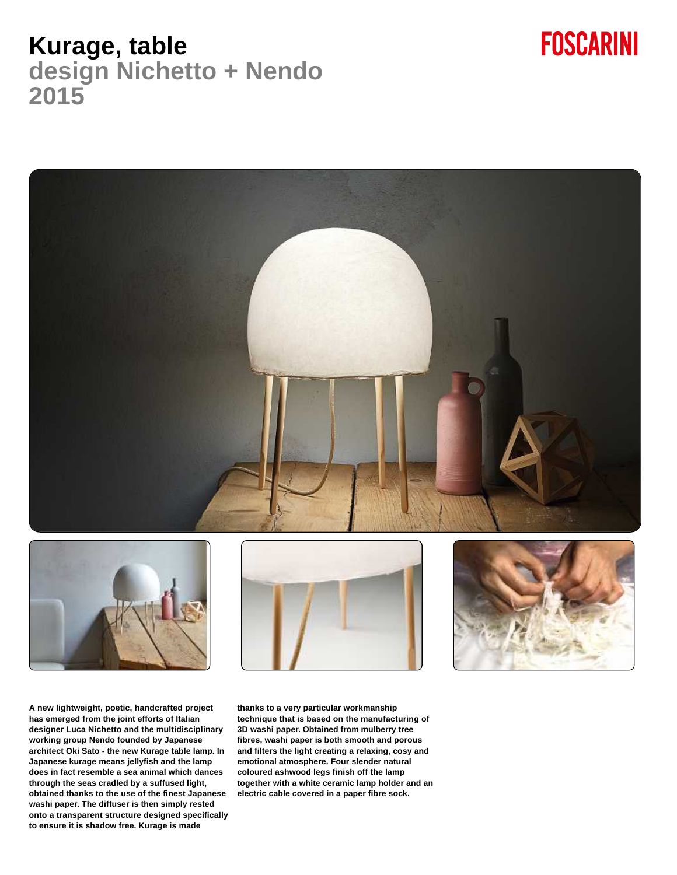### **Kurage, table design Nichetto + Nendo 2015**





**A new lightweight, poetic, handcrafted project has emerged from the joint efforts of Italian designer Luca Nichetto and the multidisciplinary working group Nendo founded by Japanese architect Oki Sato - the new Kurage table lamp. In Japanese kurage means jellyfish and the lamp does in fact resemble a sea animal which dances through the seas cradled by a suffused light, obtained thanks to the use of the finest Japanese washi paper. The diffuser is then simply rested onto a transparent structure designed specifically to ensure it is shadow free. Kurage is made**





**thanks to a very particular workmanship technique that is based on the manufacturing of 3D washi paper. Obtained from mulberry tree fibres, washi paper is both smooth and porous and filters the light creating a relaxing, cosy and emotional atmosphere. Four slender natural coloured ashwood legs finish off the lamp together with a white ceramic lamp holder and an electric cable covered in a paper fibre sock.**

# **FOSCARINI**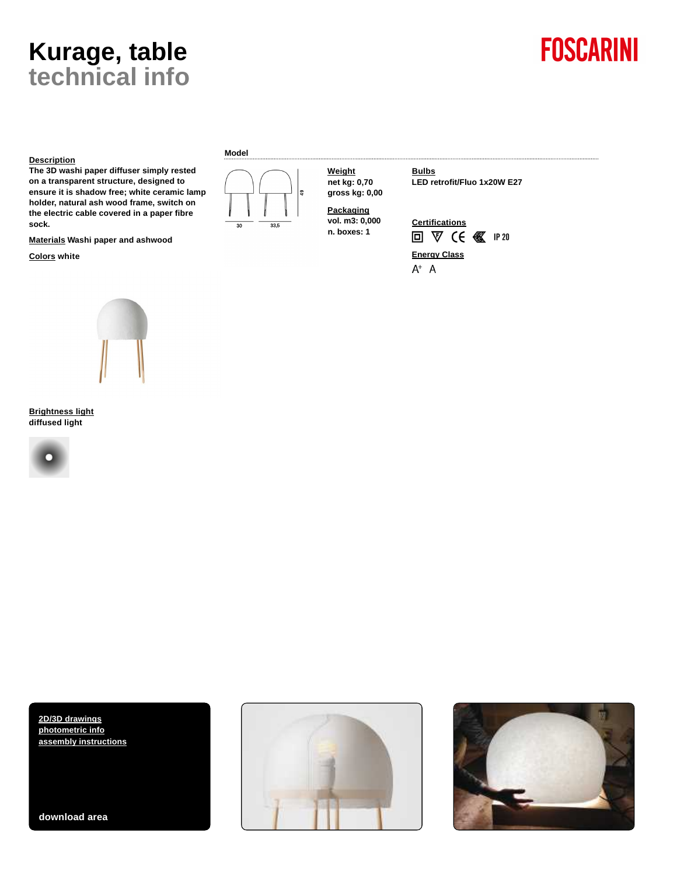## **Kurage, table technical info**

## **FOSCARINI**

#### **Description**

**The 3D washi paper diffuser simply rested on a transparent structure, designed to ensure it is shadow free; white ceramic lamp holder, natural ash wood frame, switch on the electric cable covered in a paper fibre sock.**

**Materials Washi paper and ashwood**

**Colors white**



**Brightness light diffused light**



#### **Model**



**Weight net kg: 0,70 gross kg: 0,00**

**Packaging vol. m3: 0,000 n. boxes: 1**

**Bulbs LED retrofit/Fluo 1x20W E27**



**[2D/3D drawings](http://qr.foscarini.com/P88221EN) [photometric info](http://qr.foscarini.com/P88222EN) [assembly instructions](http://qr.foscarini.com/P88223EN)**

**download area**